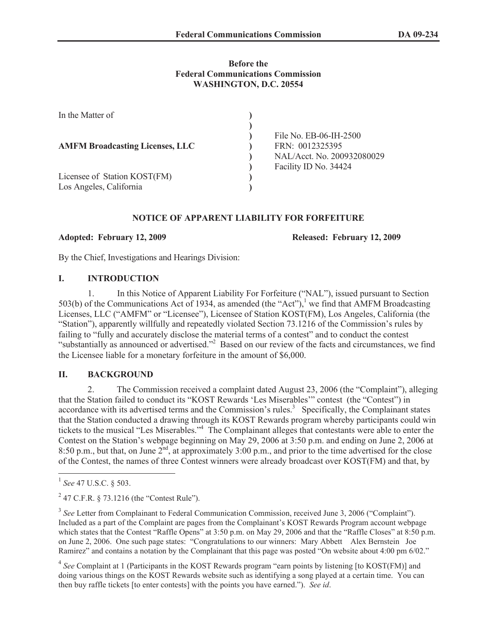# **Before the Federal Communications Commission WASHINGTON, D.C. 20554**

| In the Matter of                                        |                                                                                                  |
|---------------------------------------------------------|--------------------------------------------------------------------------------------------------|
| <b>AMFM Broadcasting Licenses, LLC</b>                  | File No. EB-06-IH-2500<br>FRN: 0012325395<br>NAL/Acct. No. 200932080029<br>Facility ID No. 34424 |
| Licensee of Station KOST(FM)<br>Los Angeles, California |                                                                                                  |

## **NOTICE OF APPARENT LIABILITY FOR FORFEITURE**

## **Adopted: February 12, 2009 Released: February 12, 2009**

By the Chief, Investigations and Hearings Division:

## **I. INTRODUCTION**

1. In this Notice of Apparent Liability For Forfeiture ("NAL"), issued pursuant to Section 503(b) of the Communications Act of 1934, as amended (the "Act"),<sup>1</sup> we find that AMFM Broadcasting Licenses, LLC ("AMFM" or "Licensee"), Licensee of Station KOST(FM), Los Angeles, California (the "Station"), apparently willfully and repeatedly violated Section 73.1216 of the Commission's rules by failing to "fully and accurately disclose the material terms of a contest" and to conduct the contest "substantially as announced or advertised."<sup>2</sup> Based on our review of the facts and circumstances, we find the Licensee liable for a monetary forfeiture in the amount of \$6,000.

# **II. BACKGROUND**

2. The Commission received a complaint dated August 23, 2006 (the "Complaint"), alleging that the Station failed to conduct its "KOST Rewards 'Les Miserables'" contest (the "Contest") in accordance with its advertised terms and the Commission's rules.<sup>3</sup> Specifically, the Complainant states that the Station conducted a drawing through its KOST Rewards program whereby participants could win tickets to the musical "Les Miserables."<sup>4</sup> The Complainant alleges that contestants were able to enter the Contest on the Station's webpage beginning on May 29, 2006 at 3:50 p.m. and ending on June 2, 2006 at 8:50 p.m., but that, on June  $2<sup>nd</sup>$ , at approximately 3:00 p.m., and prior to the time advertised for the close of the Contest, the names of three Contest winners were already broadcast over KOST(FM) and that, by

<sup>1</sup> *See* 47 U.S.C. § 503.

 $2^{2}$  47 C.F.R. § 73.1216 (the "Contest Rule").

<sup>&</sup>lt;sup>3</sup> See Letter from Complainant to Federal Communication Commission, received June 3, 2006 ("Complaint"). Included as a part of the Complaint are pages from the Complainant's KOST Rewards Program account webpage which states that the Contest "Raffle Opens" at 3:50 p.m. on May 29, 2006 and that the "Raffle Closes" at 8:50 p.m. on June 2, 2006. One such page states: "Congratulations to our winners: Mary Abbett Alex Bernstein Joe Ramirez" and contains a notation by the Complainant that this page was posted "On website about 4:00 pm 6/02."

<sup>&</sup>lt;sup>4</sup> See Complaint at 1 (Participants in the KOST Rewards program "earn points by listening [to KOST(FM)] and doing various things on the KOST Rewards website such as identifying a song played at a certain time. You can then buy raffle tickets [to enter contests] with the points you have earned."). *See id*.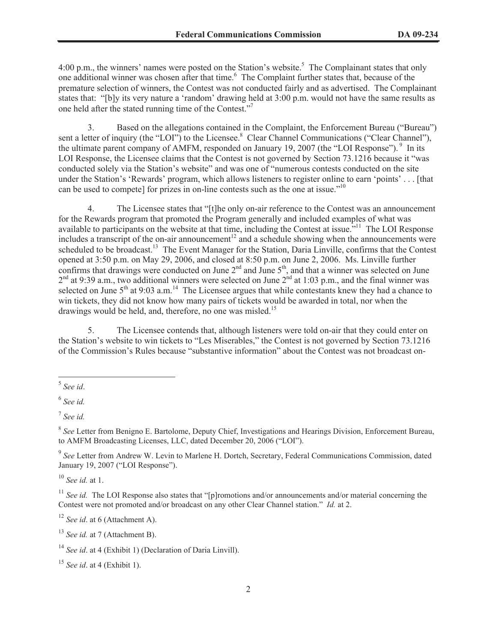4:00 p.m., the winners' names were posted on the Station's website.<sup>5</sup> The Complainant states that only one additional winner was chosen after that time.<sup>6</sup> The Complaint further states that, because of the premature selection of winners, the Contest was not conducted fairly and as advertised. The Complainant states that: "[b]y its very nature a 'random' drawing held at 3:00 p.m. would not have the same results as one held after the stated running time of the Contest."<sup>7</sup>

3. Based on the allegations contained in the Complaint, the Enforcement Bureau ("Bureau") sent a letter of inquiry (the "LOI") to the Licensee.<sup>8</sup> Clear Channel Communications ("Clear Channel"), the ultimate parent company of AMFM, responded on January 19, 2007 (the "LOI Response"). <sup>9</sup> In its LOI Response, the Licensee claims that the Contest is not governed by Section 73.1216 because it "was conducted solely via the Station's website" and was one of "numerous contests conducted on the site under the Station's 'Rewards' program, which allows listeners to register online to earn 'points' . . . [that can be used to compete] for prizes in on-line contests such as the one at issue."<sup>10</sup>

4. The Licensee states that "[t]he only on-air reference to the Contest was an announcement for the Rewards program that promoted the Program generally and included examples of what was available to participants on the website at that time, including the Contest at issue.<sup>"11</sup> The LOI Response includes a transcript of the on-air announcement<sup>12</sup> and a schedule showing when the announcements were scheduled to be broadcast.<sup>13</sup> The Event Manager for the Station, Daria Linville, confirms that the Contest opened at 3:50 p.m. on May 29, 2006, and closed at 8:50 p.m. on June 2, 2006. Ms. Linville further confirms that drawings were conducted on June  $2<sup>nd</sup>$  and June  $5<sup>th</sup>$ , and that a winner was selected on June  $2<sup>nd</sup>$  at 9:39 a.m., two additional winners were selected on June  $2<sup>nd</sup>$  at 1:03 p.m., and the final winner was selected on June 5<sup>th</sup> at 9:03 a.m.<sup>14</sup> The Licensee argues that while contestants knew they had a chance to win tickets, they did not know how many pairs of tickets would be awarded in total, nor when the drawings would be held, and, therefore, no one was misled.<sup>15</sup>

5. The Licensee contends that, although listeners were told on-air that they could enter on the Station's website to win tickets to "Les Miserables," the Contest is not governed by Section 73.1216 of the Commission's Rules because "substantive information" about the Contest was not broadcast on-

7 *See id.*

8 *See* Letter from Benigno E. Bartolome, Deputy Chief, Investigations and Hearings Division, Enforcement Bureau, to AMFM Broadcasting Licenses, LLC, dated December 20, 2006 ("LOI").

<sup>9</sup> See Letter from Andrew W. Levin to Marlene H. Dortch, Secretary, Federal Communications Commission, dated January 19, 2007 ("LOI Response").

<sup>10</sup> *See id.* at 1.

<sup>11</sup> *See id.* The LOI Response also states that "[p]romotions and/or announcements and/or material concerning the Contest were not promoted and/or broadcast on any other Clear Channel station." *Id.* at 2.

<sup>12</sup> *See id*. at 6 (Attachment A).

<sup>13</sup> *See id.* at 7 (Attachment B).

<sup>5</sup> *See id*.

<sup>6</sup> *See id.*

<sup>&</sup>lt;sup>14</sup> *See id.* at 4 (Exhibit 1) (Declaration of Daria Linvill).

<sup>15</sup> *See id*. at 4 (Exhibit 1).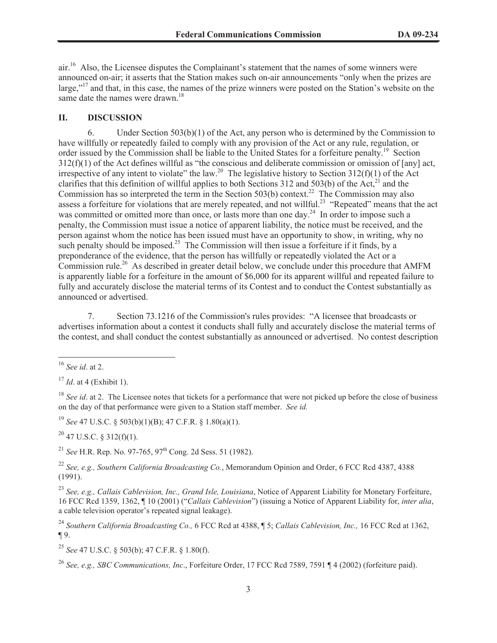air.<sup>16</sup> Also, the Licensee disputes the Complainant's statement that the names of some winners were announced on-air; it asserts that the Station makes such on-air announcements "only when the prizes are large,"<sup>17</sup> and that, in this case, the names of the prize winners were posted on the Station's website on the same date the names were drawn.<sup>18</sup>

#### **II. DISCUSSION**

6. Under Section 503(b)(1) of the Act, any person who is determined by the Commission to have willfully or repeatedly failed to comply with any provision of the Act or any rule, regulation, or order issued by the Commission shall be liable to the United States for a forfeiture penalty.<sup>19</sup> Section  $312(f)(1)$  of the Act defines willful as "the conscious and deliberate commission or omission of [any] act, irrespective of any intent to violate" the law.<sup>20</sup> The legislative history to Section 312(f)(1) of the Act clarifies that this definition of willful applies to both Sections 312 and 503(b) of the Act, $^{21}$  and the Commission has so interpreted the term in the Section 503(b) context.<sup>22</sup> The Commission may also assess a forfeiture for violations that are merely repeated, and not willful.<sup>23</sup> "Repeated" means that the act was committed or omitted more than once, or lasts more than one day.<sup>24</sup> In order to impose such a penalty, the Commission must issue a notice of apparent liability, the notice must be received, and the person against whom the notice has been issued must have an opportunity to show, in writing, why no such penalty should be imposed.<sup>25</sup> The Commission will then issue a forfeiture if it finds, by a preponderance of the evidence, that the person has willfully or repeatedly violated the Act or a Commission rule.<sup>26</sup> As described in greater detail below, we conclude under this procedure that AMFM is apparently liable for a forfeiture in the amount of \$6,000 for its apparent willful and repeated failure to fully and accurately disclose the material terms of its Contest and to conduct the Contest substantially as announced or advertised.

7. Section 73.1216 of the Commission's rules provides: "A licensee that broadcasts or advertises information about a contest it conducts shall fully and accurately disclose the material terms of the contest, and shall conduct the contest substantially as announced or advertised. No contest description

<sup>18</sup> *See id.* at 2. The Licensee notes that tickets for a performance that were not picked up before the close of business on the day of that performance were given to a Station staff member. *See id.*

<sup>19</sup> *See* 47 U.S.C. § 503(b)(1)(B); 47 C.F.R. § 1.80(a)(1).

 $20$  47 U.S.C. § 312(f)(1).

<sup>21</sup> *See* H.R. Rep. No. 97-765, 97<sup>th</sup> Cong. 2d Sess. 51 (1982).

<sup>22</sup> *See, e.g., Southern California Broadcasting Co.*, Memorandum Opinion and Order, 6 FCC Rcd 4387, 4388 (1991).

<sup>23</sup> *See, e.g., Callais Cablevision, Inc., Grand Isle, Louisiana*, Notice of Apparent Liability for Monetary Forfeiture, 16 FCC Rcd 1359, 1362, ¶ 10 (2001) ("*Callais Cablevision*") (issuing a Notice of Apparent Liability for, *inter alia*, a cable television operator's repeated signal leakage).

<sup>24</sup> *Southern California Broadcasting Co.,* 6 FCC Rcd at 4388, ¶ 5; *Callais Cablevision, Inc.,* 16 FCC Rcd at 1362, ¶ 9.

<sup>25</sup> *See* 47 U.S.C. § 503(b); 47 C.F.R. § 1.80(f).

<sup>26</sup> *See, e.g., SBC Communications, Inc*., Forfeiture Order, 17 FCC Rcd 7589, 7591 ¶ 4 (2002) (forfeiture paid).

<sup>16</sup> *See id*. at 2.

<sup>17</sup> *Id*. at 4 (Exhibit 1).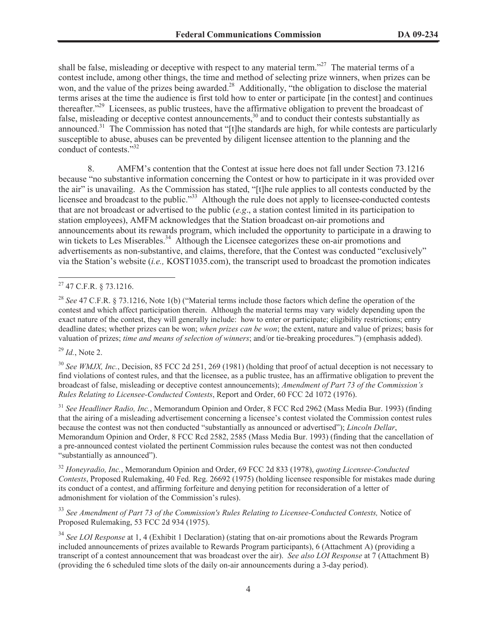shall be false, misleading or deceptive with respect to any material term."<sup>27</sup> The material terms of a contest include, among other things, the time and method of selecting prize winners, when prizes can be won, and the value of the prizes being awarded.<sup>28</sup> Additionally, "the obligation to disclose the material terms arises at the time the audience is first told how to enter or participate [in the contest] and continues thereafter."<sup>29</sup> Licensees, as public trustees, have the affirmative obligation to prevent the broadcast of false, misleading or deceptive contest announcements, $30$  and to conduct their contests substantially as announced.<sup>31</sup> The Commission has noted that "[t]he standards are high, for while contests are particularly susceptible to abuse, abuses can be prevented by diligent licensee attention to the planning and the conduct of contests."<sup>32</sup>

8. AMFM's contention that the Contest at issue here does not fall under Section 73.1216 because "no substantive information concerning the Contest or how to participate in it was provided over the air" is unavailing. As the Commission has stated, "[t]he rule applies to all contests conducted by the licensee and broadcast to the public."<sup>33</sup> Although the rule does not apply to licensee-conducted contests that are not broadcast or advertised to the public (*e.g*., a station contest limited in its participation to station employees), AMFM acknowledges that the Station broadcast on-air promotions and announcements about its rewards program, which included the opportunity to participate in a drawing to win tickets to Les Miserables.<sup>34</sup> Although the Licensee categorizes these on-air promotions and advertisements as non-substantive, and claims, therefore, that the Contest was conducted "exclusively" via the Station's website (*i.e.,* KOST1035.com), the transcript used to broadcast the promotion indicates

<sup>29</sup> *Id.*, Note 2.

<sup>30</sup> *See WMJX, Inc.*, Decision, 85 FCC 2d 251, 269 (1981) (holding that proof of actual deception is not necessary to find violations of contest rules, and that the licensee, as a public trustee, has an affirmative obligation to prevent the broadcast of false, misleading or deceptive contest announcements); *Amendment of Part 73 of the Commission's Rules Relating to Licensee-Conducted Contests*, Report and Order, 60 FCC 2d 1072 (1976).

<sup>31</sup> See Headliner Radio, Inc., Memorandum Opinion and Order, 8 FCC Rcd 2962 (Mass Media Bur. 1993) (finding that the airing of a misleading advertisement concerning a licensee's contest violated the Commission contest rules because the contest was not then conducted "substantially as announced or advertised"); *Lincoln Dellar*, Memorandum Opinion and Order, 8 FCC Rcd 2582, 2585 (Mass Media Bur. 1993) (finding that the cancellation of a pre-announced contest violated the pertinent Commission rules because the contest was not then conducted "substantially as announced").

<sup>32</sup> *Honeyradio, Inc.*, Memorandum Opinion and Order, 69 FCC 2d 833 (1978), *quoting Licensee-Conducted Contests*, Proposed Rulemaking, 40 Fed. Reg. 26692 (1975) (holding licensee responsible for mistakes made during its conduct of a contest, and affirming forfeiture and denying petition for reconsideration of a letter of admonishment for violation of the Commission's rules).

<sup>33</sup> *See Amendment of Part 73 of the Commission's Rules Relating to Licensee-Conducted Contests,* Notice of Proposed Rulemaking, 53 FCC 2d 934 (1975).

<sup>34</sup> *See LOI Response* at 1, 4 (Exhibit 1 Declaration) (stating that on-air promotions about the Rewards Program included announcements of prizes available to Rewards Program participants), 6 (Attachment A) (providing a transcript of a contest announcement that was broadcast over the air). *See also LOI Response* at 7 (Attachment B) (providing the 6 scheduled time slots of the daily on-air announcements during a 3-day period).

<sup>27</sup> 47 C.F.R. § 73.1216.

<sup>&</sup>lt;sup>28</sup> See 47 C.F.R. § 73.1216, Note 1(b) ("Material terms include those factors which define the operation of the contest and which affect participation therein. Although the material terms may vary widely depending upon the exact nature of the contest, they will generally include: how to enter or participate; eligibility restrictions; entry deadline dates; whether prizes can be won; *when prizes can be won*; the extent, nature and value of prizes; basis for valuation of prizes; *time and means of selection of winners*; and/or tie-breaking procedures.") (emphasis added).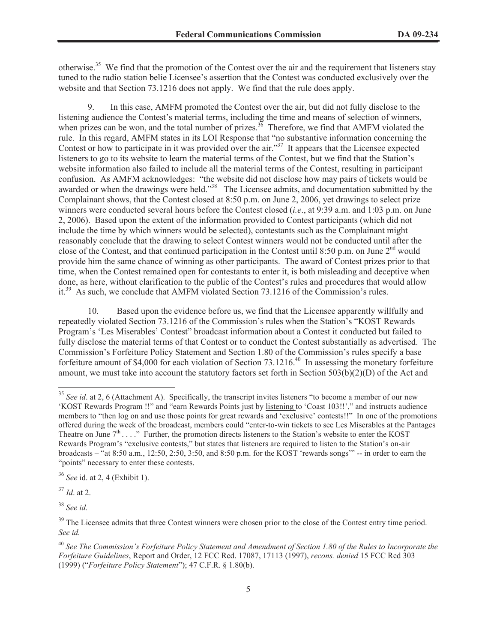otherwise.<sup>35</sup> We find that the promotion of the Contest over the air and the requirement that listeners stay tuned to the radio station belie Licensee's assertion that the Contest was conducted exclusively over the website and that Section 73.1216 does not apply. We find that the rule does apply.

9. In this case, AMFM promoted the Contest over the air, but did not fully disclose to the listening audience the Contest's material terms, including the time and means of selection of winners, when prizes can be won, and the total number of prizes.<sup>36</sup> Therefore, we find that AMFM violated the rule. In this regard, AMFM states in its LOI Response that "no substantive information concerning the Contest or how to participate in it was provided over the air."<sup>37</sup> It appears that the Licensee expected listeners to go to its website to learn the material terms of the Contest, but we find that the Station's website information also failed to include all the material terms of the Contest, resulting in participant confusion. As AMFM acknowledges: "the website did not disclose how may pairs of tickets would be awarded or when the drawings were held."<sup>38</sup> The Licensee admits, and documentation submitted by the Complainant shows, that the Contest closed at 8:50 p.m. on June 2, 2006, yet drawings to select prize winners were conducted several hours before the Contest closed (*i.e*., at 9:39 a.m. and 1:03 p.m. on June 2, 2006). Based upon the extent of the information provided to Contest participants (which did not include the time by which winners would be selected), contestants such as the Complainant might reasonably conclude that the drawing to select Contest winners would not be conducted until after the close of the Contest, and that continued participation in the Contest until 8:50 p.m. on June 2<sup>nd</sup> would provide him the same chance of winning as other participants. The award of Contest prizes prior to that time, when the Contest remained open for contestants to enter it, is both misleading and deceptive when done, as here, without clarification to the public of the Contest's rules and procedures that would allow it.<sup>39</sup> As such, we conclude that AMFM violated Section 73.1216 of the Commission's rules.

10. Based upon the evidence before us, we find that the Licensee apparently willfully and repeatedly violated Section 73.1216 of the Commission's rules when the Station's "KOST Rewards Program's 'Les Miserables' Contest" broadcast information about a Contest it conducted but failed to fully disclose the material terms of that Contest or to conduct the Contest substantially as advertised. The Commission's Forfeiture Policy Statement and Section 1.80 of the Commission's rules specify a base forfeiture amount of \$4,000 for each violation of Section 73.1216.<sup>40</sup> In assessing the monetary forfeiture amount, we must take into account the statutory factors set forth in Section 503(b)(2)(D) of the Act and

<sup>37</sup> *Id*. at 2.

<sup>38</sup> *See id.*

<sup>&</sup>lt;sup>35</sup> See *id*. at 2, 6 (Attachment A). Specifically, the transcript invites listeners "to become a member of our new 'KOST Rewards Program !!" and "earn Rewards Points just by listening to 'Coast 103!!'," and instructs audience members to "then log on and use those points for great rewards and 'exclusive' contests!!" In one of the promotions offered during the week of the broadcast, members could "enter-to-win tickets to see Les Miserables at the Pantages Theatre on June  $7^{\text{th}}$ ...." Further, the promotion directs listeners to the Station's website to enter the KOST Rewards Program's "exclusive contests," but states that listeners are required to listen to the Station's on-air broadcasts – "at 8:50 a.m., 12:50, 2:50, 3:50, and 8:50 p.m. for the KOST 'rewards songs'" -- in order to earn the "points" necessary to enter these contests.

<sup>36</sup> *See* id. at 2, 4 (Exhibit 1).

<sup>&</sup>lt;sup>39</sup> The Licensee admits that three Contest winners were chosen prior to the close of the Contest entry time period. *See id.* 

<sup>40</sup> *See The Commission's Forfeiture Policy Statement and Amendment of Section 1.80 of the Rules to Incorporate the Forfeiture Guidelines*, Report and Order, 12 FCC Rcd. 17087, 17113 (1997), *recons. denied* 15 FCC Rcd 303 (1999) ("*Forfeiture Policy Statement*"); 47 C.F.R. § 1.80(b).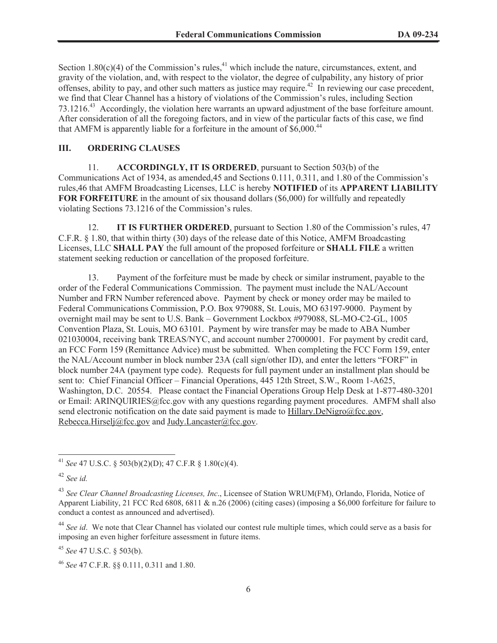Section 1.80 $(c)(4)$  of the Commission's rules,<sup>41</sup> which include the nature, circumstances, extent, and gravity of the violation, and, with respect to the violator, the degree of culpability, any history of prior offenses, ability to pay, and other such matters as justice may require.<sup>42</sup> In reviewing our case precedent, we find that Clear Channel has a history of violations of the Commission's rules, including Section 73.1216.<sup>43</sup> Accordingly, the violation here warrants an upward adjustment of the base forfeiture amount. After consideration of all the foregoing factors, and in view of the particular facts of this case, we find that AMFM is apparently liable for a forfeiture in the amount of  $$6,000.<sup>44</sup>$ 

# **III. ORDERING CLAUSES**

11. **ACCORDINGLY, IT IS ORDERED**, pursuant to Section 503(b) of the Communications Act of 1934, as amended,45 and Sections 0.111, 0.311, and 1.80 of the Commission's rules,46 that AMFM Broadcasting Licenses, LLC is hereby **NOTIFIED** of its **APPARENT LIABILITY FOR FORFEITURE** in the amount of six thousand dollars (\$6,000) for willfully and repeatedly violating Sections 73.1216 of the Commission's rules.

12. **IT IS FURTHER ORDERED**, pursuant to Section 1.80 of the Commission's rules, 47 C.F.R. § 1.80, that within thirty (30) days of the release date of this Notice, AMFM Broadcasting Licenses, LLC **SHALL PAY** the full amount of the proposed forfeiture or **SHALL FILE** a written statement seeking reduction or cancellation of the proposed forfeiture.

13. Payment of the forfeiture must be made by check or similar instrument, payable to the order of the Federal Communications Commission. The payment must include the NAL/Account Number and FRN Number referenced above. Payment by check or money order may be mailed to Federal Communications Commission, P.O. Box 979088, St. Louis, MO 63197-9000. Payment by overnight mail may be sent to U.S. Bank – Government Lockbox #979088, SL-MO-C2-GL, 1005 Convention Plaza, St. Louis, MO 63101. Payment by wire transfer may be made to ABA Number 021030004, receiving bank TREAS/NYC, and account number 27000001. For payment by credit card, an FCC Form 159 (Remittance Advice) must be submitted. When completing the FCC Form 159, enter the NAL/Account number in block number 23A (call sign/other ID), and enter the letters "FORF" in block number 24A (payment type code). Requests for full payment under an installment plan should be sent to: Chief Financial Officer – Financial Operations, 445 12th Street, S.W., Room 1-A625, Washington, D.C. 20554. Please contact the Financial Operations Group Help Desk at 1-877-480-3201 or Email: ARINQUIRIES@fcc.gov with any questions regarding payment procedures. AMFM shall also send electronic notification on the date said payment is made to Hillary.DeNigro@fcc.gov, Rebecca.Hirselj@fcc.gov and Judy.Lancaster@fcc.gov.

<sup>45</sup> *See* 47 U.S.C. § 503(b).

<sup>41</sup> *See* 47 U.S.C. § 503(b)(2)(D); 47 C.F.R § 1.80(c)(4).

<sup>42</sup> *See id.* 

<sup>43</sup> *See Clear Channel Broadcasting Licenses, Inc*., Licensee of Station WRUM(FM), Orlando, Florida, Notice of Apparent Liability, 21 FCC Rcd 6808, 6811 & n.26 (2006) (citing cases) (imposing a \$6,000 forfeiture for failure to conduct a contest as announced and advertised).

<sup>44</sup> *See id*. We note that Clear Channel has violated our contest rule multiple times, which could serve as a basis for imposing an even higher forfeiture assessment in future items.

<sup>46</sup> *See* 47 C.F.R. §§ 0.111, 0.311 and 1.80.